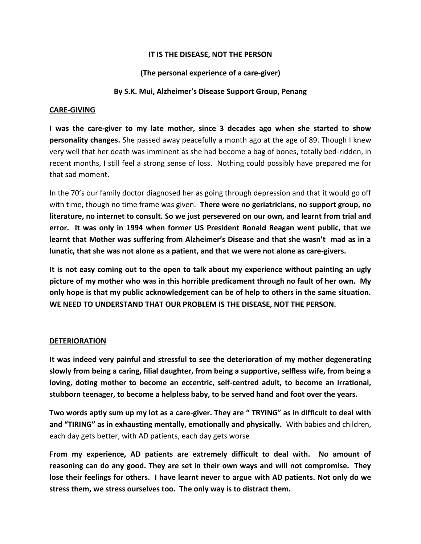## **IT IS THE DISEASE, NOT THE PERSON**

# **(The personal experience of a care-giver)**

### **By S.K. Mui, Alzheimer's Disease Support Group, Penang**

#### **CARE-GIVING**

**I was the care-giver to my late mother, since 3 decades ago when she started to show personality changes.** She passed away peacefully a month ago at the age of 89. Though I knew very well that her death was imminent as she had become a bag of bones, totally bed-ridden, in recent months, I still feel a strong sense of loss. Nothing could possibly have prepared me for that sad moment.

In the 70's our family doctor diagnosed her as going through depression and that it would go off with time, though no time frame was given. **There were no geriatricians, no support group, no literature, no internet to consult. So we just persevered on our own, and learnt from trial and error. It was only in 1994 when former US President Ronald Reagan went public, that we learnt that Mother was suffering from Alzheimer's Disease and that she wasn't mad as in a lunatic, that she was not alone as a patient, and that we were not alone as care-givers.** 

**It is not easy coming out to the open to talk about my experience without painting an ugly picture of my mother who was in this horrible predicament through no fault of her own. My only hope is that my public acknowledgement can be of help to others in the same situation. WE NEED TO UNDERSTAND THAT OUR PROBLEM IS THE DISEASE, NOT THE PERSON.**

#### **DETERIORATION**

**It was indeed very painful and stressful to see the deterioration of my mother degenerating slowly from being a caring, filial daughter, from being a supportive, selfless wife, from being a loving, doting mother to become an eccentric, self-centred adult, to become an irrational, stubborn teenager, to become a helpless baby, to be served hand and foot over the years.** 

**Two words aptly sum up my lot as a care-giver. They are " TRYING" as in difficult to deal with and "TIRING" as in exhausting mentally, emotionally and physically.** With babies and children, each day gets better, with AD patients, each day gets worse

**From my experience, AD patients are extremely difficult to deal with. No amount of reasoning can do any good. They are set in their own ways and will not compromise. They lose their feelings for others. I have learnt never to argue with AD patients. Not only do we stress them, we stress ourselves too. The only way is to distract them.**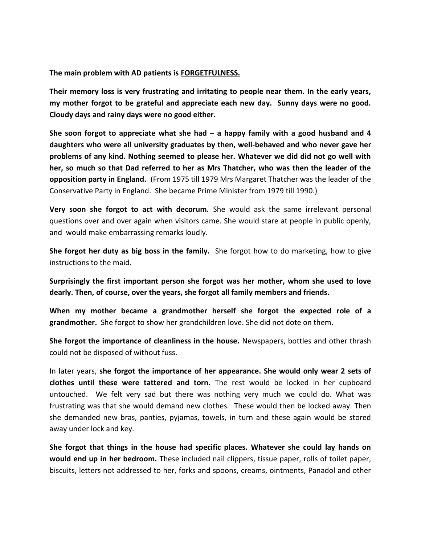**The main problem with AD patients is FORGETFULNESS.**

**Their memory loss is very frustrating and irritating to people near them. In the early years, my mother forgot to be grateful and appreciate each new day. Sunny days were no good. Cloudy days and rainy days were no good either.** 

**She soon forgot to appreciate what she had – a happy family with a good husband and 4 daughters who were all university graduates by then, well-behaved and who never gave her problems of any kind. Nothing seemed to please her. Whatever we did did not go well with her, so much so that Dad referred to her as Mrs Thatcher, who was then the leader of the opposition party in England.** (From 1975 till 1979 Mrs Margaret Thatcher was the leader of the Conservative Party in England. She became Prime Minister from 1979 till 1990.)

**Very soon she forgot to act with decorum.** She would ask the same irrelevant personal questions over and over again when visitors came. She would stare at people in public openly, and would make embarrassing remarks loudly.

**She forgot her duty as big boss in the family.** She forgot how to do marketing, how to give instructions to the maid.

**Surprisingly the first important person she forgot was her mother, whom she used to love dearly. Then, of course, over the years, she forgot all family members and friends.** 

**When my mother became a grandmother herself she forgot the expected role of a grandmother.** She forgot to show her grandchildren love. She did not dote on them.

**She forgot the importance of cleanliness in the house.** Newspapers, bottles and other thrash could not be disposed of without fuss.

In later years, **she forgot the importance of her appearance. She would only wear 2 sets of clothes until these were tattered and torn.** The rest would be locked in her cupboard untouched. We felt very sad but there was nothing very much we could do. What was frustrating was that she would demand new clothes. These would then be locked away. Then she demanded new bras, panties, pyjamas, towels, in turn and these again would be stored away under lock and key.

**She forgot that things in the house had specific places. Whatever she could lay hands on would end up in her bedroom.** These included nail clippers, tissue paper, rolls of toilet paper, biscuits, letters not addressed to her, forks and spoons, creams, ointments, Panadol and other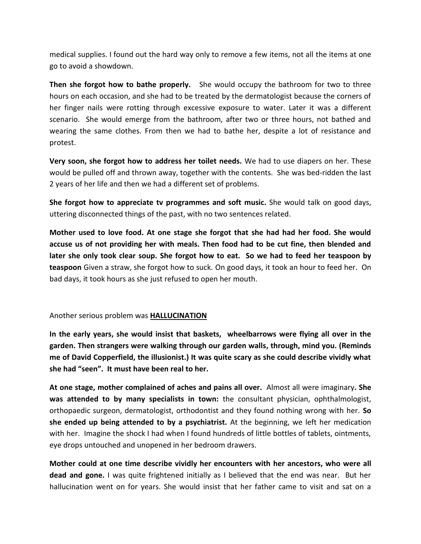medical supplies. I found out the hard way only to remove a few items, not all the items at one go to avoid a showdown.

**Then she forgot how to bathe properly.** She would occupy the bathroom for two to three hours on each occasion, and she had to be treated by the dermatologist because the corners of her finger nails were rotting through excessive exposure to water. Later it was a different scenario. She would emerge from the bathroom, after two or three hours, not bathed and wearing the same clothes. From then we had to bathe her, despite a lot of resistance and protest.

**Very soon, she forgot how to address her toilet needs.** We had to use diapers on her. These would be pulled off and thrown away, together with the contents. She was bed-ridden the last 2 years of her life and then we had a different set of problems.

**She forgot how to appreciate tv programmes and soft music.** She would talk on good days, uttering disconnected things of the past, with no two sentences related.

**Mother used to love food. At one stage she forgot that she had had her food. She would accuse us of not providing her with meals. Then food had to be cut fine, then blended and later she only took clear soup. She forgot how to eat. So we had to feed her teaspoon by teaspoon** Given a straw, she forgot how to suck. On good days, it took an hour to feed her. On bad days, it took hours as she just refused to open her mouth.

Another serious problem was **HALLUCINATION**

**In the early years, she would insist that baskets, wheelbarrows were flying all over in the garden. Then strangers were walking through our garden walls, through, mind you. (Reminds me of David Copperfield, the illusionist.) It was quite scary as she could describe vividly what she had "seen". It must have been real to her.**

**At one stage, mother complained of aches and pains all over.** Almost all were imaginary**. She was attended to by many specialists in town:** the consultant physician, ophthalmologist, orthopaedic surgeon, dermatologist, orthodontist and they found nothing wrong with her. **So she ended up being attended to by a psychiatrist.** At the beginning, we left her medication with her. Imagine the shock I had when I found hundreds of little bottles of tablets, ointments, eye drops untouched and unopened in her bedroom drawers.

**Mother could at one time describe vividly her encounters with her ancestors, who were all dead and gone.** I was quite frightened initially as I believed that the end was near. But her hallucination went on for years. She would insist that her father came to visit and sat on a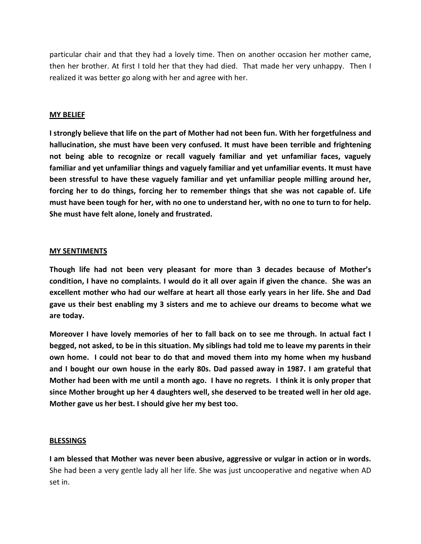particular chair and that they had a lovely time. Then on another occasion her mother came, then her brother. At first I told her that they had died. That made her very unhappy. Then I realized it was better go along with her and agree with her.

### **MY BELIEF**

**I strongly believe that life on the part of Mother had not been fun. With her forgetfulness and hallucination, she must have been very confused. It must have been terrible and frightening not being able to recognize or recall vaguely familiar and yet unfamiliar faces, vaguely familiar and yet unfamiliar things and vaguely familiar and yet unfamiliar events. It must have been stressful to have these vaguely familiar and yet unfamiliar people milling around her, forcing her to do things, forcing her to remember things that she was not capable of. Life must have been tough for her, with no one to understand her, with no one to turn to for help. She must have felt alone, lonely and frustrated.** 

### **MY SENTIMENTS**

**Though life had not been very pleasant for more than 3 decades because of Mother's condition, I have no complaints. I would do it all over again if given the chance. She was an excellent mother who had our welfare at heart all those early years in her life. She and Dad gave us their best enabling my 3 sisters and me to achieve our dreams to become what we are today.** 

**Moreover I have lovely memories of her to fall back on to see me through. In actual fact I begged, not asked, to be in this situation. My siblings had told me to leave my parents in their own home. I could not bear to do that and moved them into my home when my husband and I bought our own house in the early 80s. Dad passed away in 1987. I am grateful that Mother had been with me until a month ago. I have no regrets. I think it is only proper that since Mother brought up her 4 daughters well, she deserved to be treated well in her old age. Mother gave us her best. I should give her my best too.**

#### **BLESSINGS**

**I am blessed that Mother was never been abusive, aggressive or vulgar in action or in words.**  She had been a very gentle lady all her life. She was just uncooperative and negative when AD set in.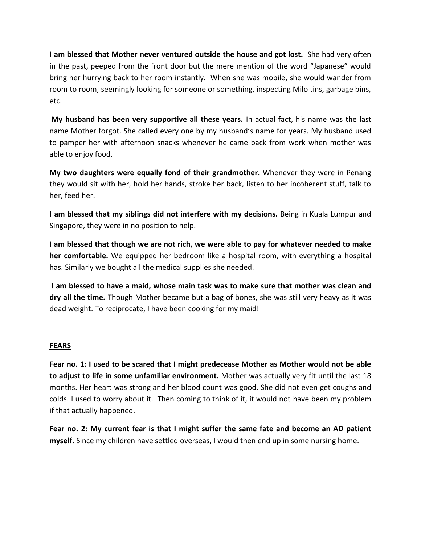**I am blessed that Mother never ventured outside the house and got lost.** She had very often in the past, peeped from the front door but the mere mention of the word "Japanese" would bring her hurrying back to her room instantly. When she was mobile, she would wander from room to room, seemingly looking for someone or something, inspecting Milo tins, garbage bins, etc.

**My husband has been very supportive all these years.** In actual fact, his name was the last name Mother forgot. She called every one by my husband's name for years. My husband used to pamper her with afternoon snacks whenever he came back from work when mother was able to enjoy food.

**My two daughters were equally fond of their grandmother.** Whenever they were in Penang they would sit with her, hold her hands, stroke her back, listen to her incoherent stuff, talk to her, feed her.

**I am blessed that my siblings did not interfere with my decisions.** Being in Kuala Lumpur and Singapore, they were in no position to help.

**I am blessed that though we are not rich, we were able to pay for whatever needed to make her comfortable.** We equipped her bedroom like a hospital room, with everything a hospital has. Similarly we bought all the medical supplies she needed.

**I am blessed to have a maid, whose main task was to make sure that mother was clean and dry all the time.** Though Mother became but a bag of bones, she was still very heavy as it was dead weight. To reciprocate, I have been cooking for my maid!

# **FEARS**

**Fear no. 1: I used to be scared that I might predecease Mother as Mother would not be able to adjust to life in some unfamiliar environment.** Mother was actually very fit until the last 18 months. Her heart was strong and her blood count was good. She did not even get coughs and colds. I used to worry about it. Then coming to think of it, it would not have been my problem if that actually happened.

**Fear no. 2: My current fear is that I might suffer the same fate and become an AD patient myself.** Since my children have settled overseas, I would then end up in some nursing home.